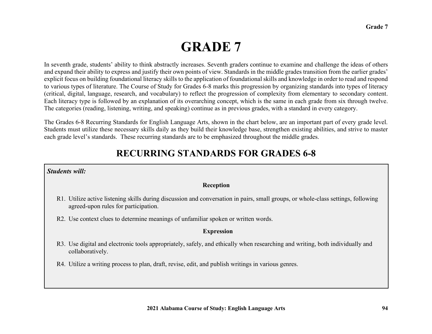# **GRADE 7**

In seventh grade, students' ability to think abstractly increases. Seventh graders continue to examine and challenge the ideas of others and expand their ability to express and justify their own points of view. Standards in the middle grades transition from the earlier grades' explicit focus on building foundational literacy skills to the application of foundational skills and knowledge in order to read and respond to various types of literature. The Course of Study for Grades 6-8 marks this progression by organizing standards into types of literacy (critical, digital, language, research, and vocabulary) to reflect the progression of complexity from elementary to secondary content. Each literacy type is followed by an explanation of its overarching concept, which is the same in each grade from six through twelve. The categories (reading, listening, writing, and speaking) continue as in previous grades, with a standard in every category.

The Grades 6-8 Recurring Standards for English Language Arts, shown in the chart below, are an important part of every grade level. Students must utilize these necessary skills daily as they build their knowledge base, strengthen existing abilities, and strive to master each grade level's standards. These recurring standards are to be emphasized throughout the middle grades.

### **RECURRING STANDARDS FOR GRADES 6-8**

### *Students will:*

#### **Reception**

- R1. Utilize active listening skills during discussion and conversation in pairs, small groups, or whole-class settings, following agreed-upon rules for participation.
- R2. Use context clues to determine meanings of unfamiliar spoken or written words.

### **Expression**

- R3. Use digital and electronic tools appropriately, safely, and ethically when researching and writing, both individually and collaboratively.
- R4. Utilize a writing process to plan, draft, revise, edit, and publish writings in various genres.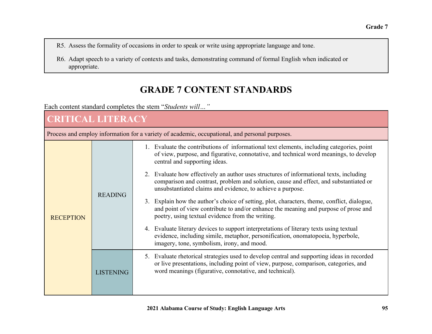- R5. Assess the formality of occasions in order to speak or write using appropriate language and tone.
- R6. Adapt speech to a variety of contexts and tasks, demonstrating command of formal English when indicated or appropriate.

## **GRADE 7 CONTENT STANDARDS**

Each content standard completes the stem "*Students will…"* 

### **CRITICAL LITERACY**Process and employ information for a variety of academic, occupational, and personal purposes. **RECEPTION** READING1. Evaluate the contributions of informational text elements, including categories, point of view, purpose, and figurative, connotative, and technical word meanings, to develop central and supporting ideas. 2. Evaluate how effectively an author uses structures of informational texts, including comparison and contrast, problem and solution, cause and effect, and substantiated or unsubstantiated claims and evidence, to achieve a purpose. 3. Explain how the author's choice of setting, plot, characters, theme, conflict, dialogue, and point of view contribute to and/or enhance the meaning and purpose of prose and poetry, using textual evidence from the writing. 4. Evaluate literary devices to support interpretations of literary texts using textual evidence, including simile, metaphor, personification, onomatopoeia, hyperbole, imagery, tone, symbolism, irony, and mood. LISTENING5. Evaluate rhetorical strategies used to develop central and supporting ideas in recorded or live presentations, including point of view, purpose, comparison, categories, and word meanings (figurative, connotative, and technical).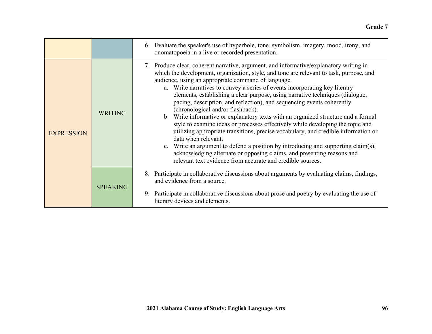|                   |                 | 6. Evaluate the speaker's use of hyperbole, tone, symbolism, imagery, mood, irony, and<br>onomatopoeia in a live or recorded presentation.                                                                                                                                                                                                                                                                                                                                                                                                                                                                                                                                                                                                                                                                                                                                                                                                                                                                                                |
|-------------------|-----------------|-------------------------------------------------------------------------------------------------------------------------------------------------------------------------------------------------------------------------------------------------------------------------------------------------------------------------------------------------------------------------------------------------------------------------------------------------------------------------------------------------------------------------------------------------------------------------------------------------------------------------------------------------------------------------------------------------------------------------------------------------------------------------------------------------------------------------------------------------------------------------------------------------------------------------------------------------------------------------------------------------------------------------------------------|
| <b>EXPRESSION</b> | <b>WRITING</b>  | 7. Produce clear, coherent narrative, argument, and informative/explanatory writing in<br>which the development, organization, style, and tone are relevant to task, purpose, and<br>audience, using an appropriate command of language.<br>a. Write narratives to convey a series of events incorporating key literary<br>elements, establishing a clear purpose, using narrative techniques (dialogue,<br>pacing, description, and reflection), and sequencing events coherently<br>(chronological and/or flashback).<br>b. Write informative or explanatory texts with an organized structure and a formal<br>style to examine ideas or processes effectively while developing the topic and<br>utilizing appropriate transitions, precise vocabulary, and credible information or<br>data when relevant.<br>c. Write an argument to defend a position by introducing and supporting claim(s),<br>acknowledging alternate or opposing claims, and presenting reasons and<br>relevant text evidence from accurate and credible sources. |
|                   | <b>SPEAKING</b> | Participate in collaborative discussions about arguments by evaluating claims, findings,<br>and evidence from a source.<br>Participate in collaborative discussions about prose and poetry by evaluating the use of<br>9.<br>literary devices and elements.                                                                                                                                                                                                                                                                                                                                                                                                                                                                                                                                                                                                                                                                                                                                                                               |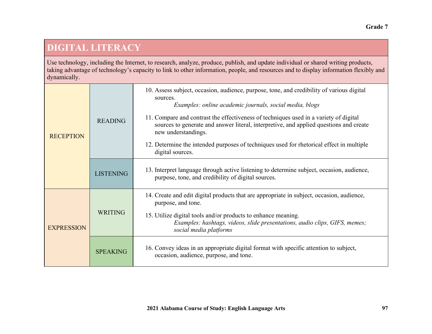## **DIGITAL LITERACY**

Use technology, including the Internet, to research, analyze, produce, publish, and update individual or shared writing products, taking advantage of technology's capacity to link to other information, people, and resources and to display information flexibly and dynamically.

| <b>RECEPTION</b>  | <b>READING</b>   | 10. Assess subject, occasion, audience, purpose, tone, and credibility of various digital<br>sources.<br>Examples: online academic journals, social media, blogs                                       |
|-------------------|------------------|--------------------------------------------------------------------------------------------------------------------------------------------------------------------------------------------------------|
|                   |                  | 11. Compare and contrast the effectiveness of techniques used in a variety of digital<br>sources to generate and answer literal, interpretive, and applied questions and create<br>new understandings. |
|                   |                  | 12. Determine the intended purposes of techniques used for rhetorical effect in multiple<br>digital sources.                                                                                           |
|                   | <b>LISTENING</b> | 13. Interpret language through active listening to determine subject, occasion, audience,<br>purpose, tone, and credibility of digital sources.                                                        |
| <b>EXPRESSION</b> | <b>WRITING</b>   | 14. Create and edit digital products that are appropriate in subject, occasion, audience,<br>purpose, and tone.                                                                                        |
|                   |                  | 15. Utilize digital tools and/or products to enhance meaning.<br>Examples: hashtags, videos, slide presentations, audio clips, GIFS, memes;<br>social media platforms                                  |
|                   | <b>SPEAKING</b>  | 16. Convey ideas in an appropriate digital format with specific attention to subject,<br>occasion, audience, purpose, and tone.                                                                        |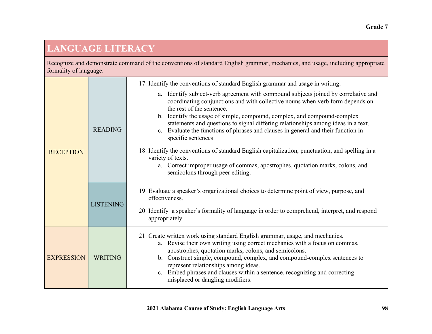## **LANGUAGE LITERACY**

Recognize and demonstrate command of the conventions of standard English grammar, mechanics, and usage, including appropriate formality of language.

| <b>RECEPTION</b>  |                  | 17. Identify the conventions of standard English grammar and usage in writing.                                                                                                                                                                                                                                                                                                                                                                                                                                                                                                                                                                                                                                               |
|-------------------|------------------|------------------------------------------------------------------------------------------------------------------------------------------------------------------------------------------------------------------------------------------------------------------------------------------------------------------------------------------------------------------------------------------------------------------------------------------------------------------------------------------------------------------------------------------------------------------------------------------------------------------------------------------------------------------------------------------------------------------------------|
|                   | <b>READING</b>   | a. Identify subject-verb agreement with compound subjects joined by correlative and<br>coordinating conjunctions and with collective nouns when verb form depends on<br>the rest of the sentence.<br>b. Identify the usage of simple, compound, complex, and compound-complex<br>statements and questions to signal differing relationships among ideas in a text.<br>c. Evaluate the functions of phrases and clauses in general and their function in<br>specific sentences.<br>18. Identify the conventions of standard English capitalization, punctuation, and spelling in a<br>variety of texts.<br>a. Correct improper usage of commas, apostrophes, quotation marks, colons, and<br>semicolons through peer editing. |
|                   | <b>LISTENING</b> | 19. Evaluate a speaker's organizational choices to determine point of view, purpose, and<br>effectiveness.<br>20. Identify a speaker's formality of language in order to comprehend, interpret, and respond<br>appropriately.                                                                                                                                                                                                                                                                                                                                                                                                                                                                                                |
| <b>EXPRESSION</b> | <b>WRITING</b>   | 21. Create written work using standard English grammar, usage, and mechanics.<br>a. Revise their own writing using correct mechanics with a focus on commas,<br>apostrophes, quotation marks, colons, and semicolons.<br>b. Construct simple, compound, complex, and compound-complex sentences to<br>represent relationships among ideas.<br>c. Embed phrases and clauses within a sentence, recognizing and correcting<br>misplaced or dangling modifiers.                                                                                                                                                                                                                                                                 |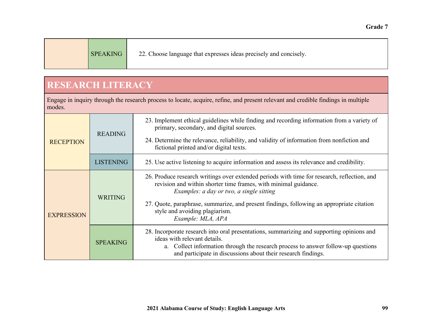| <b>SPEAKING</b> | 22. Choose language that expresses ideas precisely and concisely. |  |
|-----------------|-------------------------------------------------------------------|--|
|-----------------|-------------------------------------------------------------------|--|

### **RESEARCH LITERACY**

Engage in inquiry through the research process to locate, acquire, refine, and present relevant and credible findings in multiple modes.

| <b>RECEPTION</b>  | <b>READING</b>   | 23. Implement ethical guidelines while finding and recording information from a variety of<br>primary, secondary, and digital sources.<br>24. Determine the relevance, reliability, and validity of information from nonfiction and<br>fictional printed and/or digital texts.                                                                                 |
|-------------------|------------------|----------------------------------------------------------------------------------------------------------------------------------------------------------------------------------------------------------------------------------------------------------------------------------------------------------------------------------------------------------------|
|                   | <b>LISTENING</b> | 25. Use active listening to acquire information and assess its relevance and credibility.                                                                                                                                                                                                                                                                      |
| <b>EXPRESSION</b> | <b>WRITING</b>   | 26. Produce research writings over extended periods with time for research, reflection, and<br>revision and within shorter time frames, with minimal guidance.<br>Examples: a day or two, a single sitting<br>27. Quote, paraphrase, summarize, and present findings, following an appropriate citation<br>style and avoiding plagiarism.<br>Example: MLA, APA |
|                   | <b>SPEAKING</b>  | 28. Incorporate research into oral presentations, summarizing and supporting opinions and<br>ideas with relevant details.<br>a. Collect information through the research process to answer follow-up questions<br>and participate in discussions about their research findings.                                                                                |